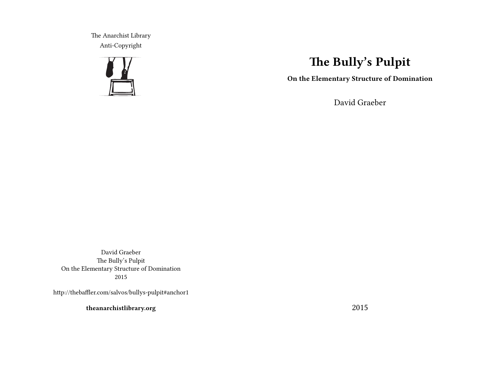The Anarchist Library Anti-Copyright



# **The Bully's Pulpit**

**On the Elementary Structure of Domination**

David Graeber

David Graeber The Bully's Pulpit On the Elementary Structure of Domination 2015

http://thebaffler.com/salvos/bullys-pulpit#anchor1

**theanarchistlibrary.org**

2015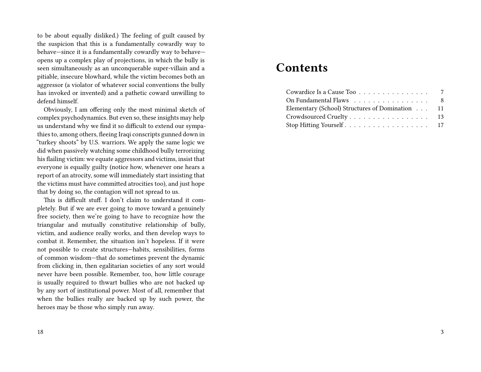to be about equally disliked.) The feeling of guilt caused by the suspicion that this is a fundamentally cowardly way to behave—since it is a fundamentally cowardly way to behave opens up a complex play of projections, in which the bully is seen simultaneously as an unconquerable super-villain and a pitiable, insecure blowhard, while the victim becomes both an aggressor (a violator of whatever social conventions the bully has invoked or invented) and a pathetic coward unwilling to defend himself.

Obviously, I am offering only the most minimal sketch of complex psychodynamics. But even so, these insights may help us understand why we find it so difficult to extend our sympathies to, among others, fleeing Iraqi conscripts gunned down in "turkey shoots" by U.S. warriors. We apply the same logic we did when passively watching some childhood bully terrorizing his flailing victim: we equate aggressors and victims, insist that everyone is equally guilty (notice how, whenever one hears a report of an atrocity, some will immediately start insisting that the victims must have committed atrocities too), and just hope that by doing so, the contagion will not spread to us.

This is difficult stuff. I don't claim to understand it completely. But if we are ever going to move toward a genuinely free society, then we're going to have to recognize how the triangular and mutually constitutive relationship of bully, victim, and audience really works, and then develop ways to combat it. Remember, the situation isn't hopeless. If it were not possible to create structures—habits, sensibilities, forms of common wisdom—that do sometimes prevent the dynamic from clicking in, then egalitarian societies of any sort would never have been possible. Remember, too, how little courage is usually required to thwart bullies who are not backed up by any sort of institutional power. Most of all, remember that when the bullies really are backed up by such power, the heroes may be those who simply run away.

## **Contents**

| Cowardice Is a Cause Too 7                      |  |
|-------------------------------------------------|--|
| On Fundamental Flaws 8                          |  |
| Elementary (School) Structures of Domination 11 |  |
| Crowdsourced Cruelty 13                         |  |
|                                                 |  |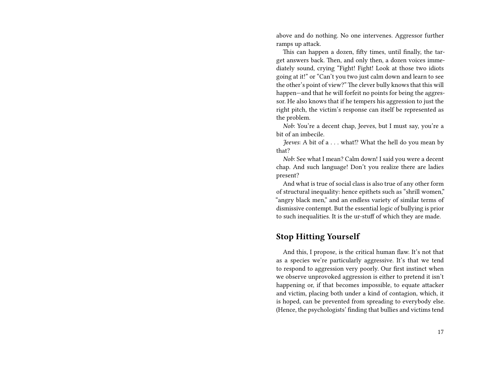above and do nothing. No one intervenes. Aggressor further ramps up attack.

This can happen a dozen, fifty times, until finally, the target answers back. Then, and only then, a dozen voices immediately sound, crying "Fight! Fight! Look at those two idiots going at it!" or "Can't you two just calm down and learn to see the other's point of view?" The clever bully knows that this will happen—and that he will forfeit no points for being the aggressor. He also knows that if he tempers his aggression to just the right pitch, the victim's response can itself be represented as the problem.

*Nob*: You're a decent chap, Jeeves, but I must say, you're a bit of an imbecile.

*Jeeves*: A bit of a . . . what!? What the hell do you mean by that?

*Nob*: See what I mean? Calm down! I said you were a decent chap. And such language! Don't you realize there are ladies present?

And what is true of social class is also true of any other form of structural inequality: hence epithets such as "shrill women," "angry black men," and an endless variety of similar terms of dismissive contempt. But the essential logic of bullying is prior to such inequalities. It is the ur-stuff of which they are made.

#### **Stop Hitting Yourself**

And this, I propose, is the critical human flaw. It's not that as a species we're particularly aggressive. It's that we tend to respond to aggression very poorly. Our first instinct when we observe unprovoked aggression is either to pretend it isn't happening or, if that becomes impossible, to equate attacker and victim, placing both under a kind of contagion, which, it is hoped, can be prevented from spreading to everybody else. (Hence, the psychologists' finding that bullies and victims tend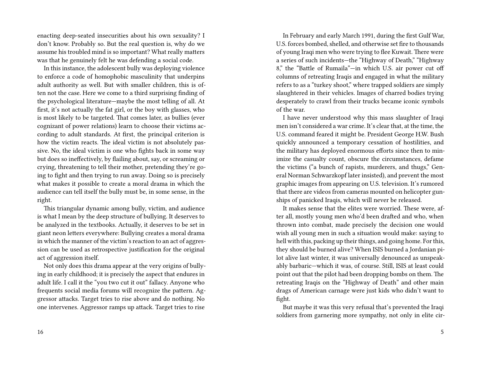enacting deep-seated insecurities about his own sexuality? I don't know. Probably so. But the real question is, why do we assume his troubled mind is so important? What really matters was that he genuinely felt he was defending a social code.

In this instance, the adolescent bully was deploying violence to enforce a code of homophobic masculinity that underpins adult authority as well. But with smaller children, this is often not the case. Here we come to a third surprising finding of the psychological literature—maybe the most telling of all. At first, it's not actually the fat girl, or the boy with glasses, who is most likely to be targeted. That comes later, as bullies (ever cognizant of power relations) learn to choose their victims according to adult standards. At first, the principal criterion is how the victim reacts. The ideal victim is not absolutely passive. No, the ideal victim is one who fights back in some way but does so ineffectively, by flailing about, say, or screaming or crying, threatening to tell their mother, pretending they're going to fight and then trying to run away. Doing so is precisely what makes it possible to create a moral drama in which the audience can tell itself the bully must be, in some sense, in the right.

This triangular dynamic among bully, victim, and audience is what I mean by the deep structure of bullying. It deserves to be analyzed in the textbooks. Actually, it deserves to be set in giant neon letters everywhere: Bullying creates a moral drama in which the manner of the victim's reaction to an act of aggression can be used as retrospective justification for the original act of aggression itself.

Not only does this drama appear at the very origins of bullying in early childhood; it is precisely the aspect that endures in adult life. I call it the "you two cut it out" fallacy. Anyone who frequents social media forums will recognize the pattern. Aggressor attacks. Target tries to rise above and do nothing. No one intervenes. Aggressor ramps up attack. Target tries to rise

In February and early March 1991, during the first Gulf War, U.S. forces bombed, shelled, and otherwise set fire to thousands of young Iraqi men who were trying to flee Kuwait. There were a series of such incidents—the "Highway of Death," "Highway 8," the "Battle of Rumaila"—in which U.S. air power cut off columns of retreating Iraqis and engaged in what the military refers to as a "turkey shoot," where trapped soldiers are simply slaughtered in their vehicles. Images of charred bodies trying desperately to crawl from their trucks became iconic symbols of the war.

I have never understood why this mass slaughter of Iraqi men isn't considered a war crime. It's clear that, at the time, the U.S. command feared it might be. President George H.W. Bush quickly announced a temporary cessation of hostilities, and the military has deployed enormous efforts since then to minimize the casualty count, obscure the circumstances, defame the victims ("a bunch of rapists, murderers, and thugs," General Norman Schwarzkopf later insisted), and prevent the most graphic images from appearing on U.S. television. It's rumored that there are videos from cameras mounted on helicopter gunships of panicked Iraqis, which will never be released.

It makes sense that the elites were worried. These were, after all, mostly young men who'd been drafted and who, when thrown into combat, made precisely the decision one would wish all young men in such a situation would make: saying to hell with this, packing up their things, and going home. For this, they should be burned alive? When ISIS burned a Jordanian pilot alive last winter, it was universally denounced as unspeakably barbaric—which it was, of course. Still, ISIS at least could point out that the pilot had been dropping bombs on them. The retreating Iraqis on the "Highway of Death" and other main drags of American carnage were just kids who didn't want to fight.

But maybe it was this very refusal that's prevented the Iraqi soldiers from garnering more sympathy, not only in elite cir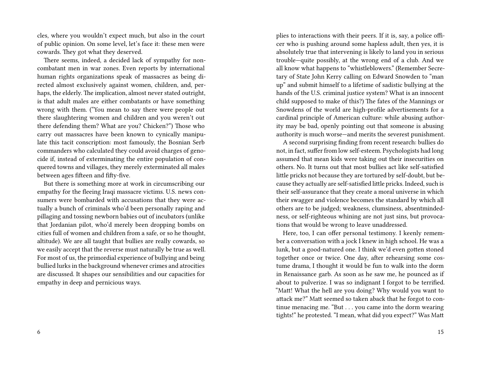cles, where you wouldn't expect much, but also in the court of public opinion. On some level, let's face it: these men were cowards. They got what they deserved.

There seems, indeed, a decided lack of sympathy for noncombatant men in war zones. Even reports by international human rights organizations speak of massacres as being directed almost exclusively against women, children, and, perhaps, the elderly. The implication, almost never stated outright, is that adult males are either combatants or have something wrong with them. ("You mean to say there were people out there slaughtering women and children and you weren't out there defending them? What are you? Chicken?") Those who carry out massacres have been known to cynically manipulate this tacit conscription: most famously, the Bosnian Serb commanders who calculated they could avoid charges of genocide if, instead of exterminating the entire population of conquered towns and villages, they merely exterminated all males between ages fifteen and fifty-five.

But there is something more at work in circumscribing our empathy for the fleeing Iraqi massacre victims. U.S. news consumers were bombarded with accusations that they were actually a bunch of criminals who'd been personally raping and pillaging and tossing newborn babies out of incubators (unlike that Jordanian pilot, who'd merely been dropping bombs on cities full of women and children from a safe, or so he thought, altitude). We are all taught that bullies are really cowards, so we easily accept that the reverse must naturally be true as well. For most of us, the primordial experience of bullying and being bullied lurks in the background whenever crimes and atrocities are discussed. It shapes our sensibilities and our capacities for empathy in deep and pernicious ways.

plies to interactions with their peers. If it is, say, a police officer who is pushing around some hapless adult, then yes, it is absolutely true that intervening is likely to land you in serious trouble—quite possibly, at the wrong end of a club. And we all know what happens to "whistleblowers." (Remember Secretary of State John Kerry calling on Edward Snowden to "man up" and submit himself to a lifetime of sadistic bullying at the hands of the U.S. criminal justice system? What is an innocent child supposed to make of this?) The fates of the Mannings or Snowdens of the world are high-profile advertisements for a cardinal principle of American culture: while abusing authority may be bad, openly pointing out that someone is abusing authority is much worse—and merits the severest punishment.

A second surprising finding from recent research: bullies do not, in fact, suffer from low self-esteem. Psychologists had long assumed that mean kids were taking out their insecurities on others. No. It turns out that most bullies act like self-satisfied little pricks not because they are tortured by self-doubt, but because they actually are self-satisfied little pricks. Indeed, such is their self-assurance that they create a moral universe in which their swagger and violence becomes the standard by which all others are to be judged; weakness, clumsiness, absentmindedness, or self-righteous whining are not just sins, but provocations that would be wrong to leave unaddressed.

Here, too, I can offer personal testimony. I keenly remember a conversation with a jock I knew in high school. He was a lunk, but a good-natured one. I think we'd even gotten stoned together once or twice. One day, after rehearsing some costume drama, I thought it would be fun to walk into the dorm in Renaissance garb. As soon as he saw me, he pounced as if about to pulverize. I was so indignant I forgot to be terrified. "Matt! What the hell are you doing? Why would you want to attack me?" Matt seemed so taken aback that he forgot to continue menacing me. "But . . . you came into the dorm wearing tights!" he protested. "I mean, what did you expect?" Was Matt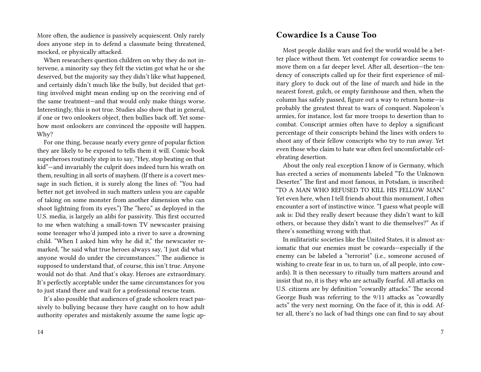More often, the audience is passively acquiescent. Only rarely does anyone step in to defend a classmate being threatened, mocked, or physically attacked.

When researchers question children on why they do not intervene, a minority say they felt the victim got what he or she deserved, but the majority say they didn't like what happened, and certainly didn't much like the bully, but decided that getting involved might mean ending up on the receiving end of the same treatment—and that would only make things worse. Interestingly, this is not true. Studies also show that in general, if one or two onlookers object, then bullies back off. Yet somehow most onlookers are convinced the opposite will happen. Why?

For one thing, because nearly every genre of popular fiction they are likely to be exposed to tells them it will. Comic book superheroes routinely step in to say, "Hey, stop beating on that kid"—and invariably the culprit does indeed turn his wrath on them, resulting in all sorts of mayhem. (If there is a covert message in such fiction, it is surely along the lines of: "You had better not get involved in such matters unless you are capable of taking on some monster from another dimension who can shoot lightning from its eyes.") The "hero," as deployed in the U.S. media, is largely an alibi for passivity. This first occurred to me when watching a small-town TV newscaster praising some teenager who'd jumped into a river to save a drowning child. "When I asked him why he did it," the newscaster remarked, "he said what true heroes always say, 'I just did what anyone would do under the circumstances.'" The audience is supposed to understand that, of course, this isn't true. Anyone would not do that. And that's okay. Heroes are extraordinary. It's perfectly acceptable under the same circumstances for you to just stand there and wait for a professional rescue team.

It's also possible that audiences of grade schoolers react passively to bullying because they have caught on to how adult authority operates and mistakenly assume the same logic ap-

#### **Cowardice Is a Cause Too**

Most people dislike wars and feel the world would be a better place without them. Yet contempt for cowardice seems to move them on a far deeper level. After all, desertion—the tendency of conscripts called up for their first experience of military glory to duck out of the line of march and hide in the nearest forest, gulch, or empty farmhouse and then, when the column has safely passed, figure out a way to return home—is probably the greatest threat to wars of conquest. Napoleon's armies, for instance, lost far more troops to desertion than to combat. Conscript armies often have to deploy a significant percentage of their conscripts behind the lines with orders to shoot any of their fellow conscripts who try to run away. Yet even those who claim to hate war often feel uncomfortable celebrating desertion.

About the only real exception I know of is Germany, which has erected a series of monuments labeled "To the Unknown Deserter." The first and most famous, in Potsdam, is inscribed: "TO A MAN WHO REFUSED TO KILL HIS FELLOW MAN." Yet even here, when I tell friends about this monument, I often encounter a sort of instinctive wince. "I guess what people will ask is: Did they really desert because they didn't want to kill others, or because they didn't want to die themselves?" As if there's something wrong with that.

In militaristic societies like the United States, it is almost axiomatic that our enemies must be cowards—especially if the enemy can be labeled a "terrorist" (i.e., someone accused of wishing to create fear in us, to turn us, of all people, into cowards). It is then necessary to ritually turn matters around and insist that no, it is they who are actually fearful. All attacks on U.S. citizens are by definition "cowardly attacks." The second George Bush was referring to the 9/11 attacks as "cowardly acts" the very next morning. On the face of it, this is odd. After all, there's no lack of bad things one can find to say about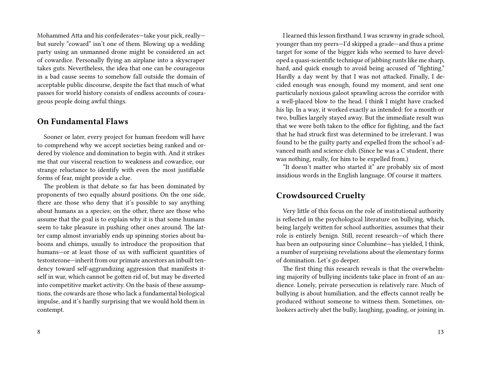Mohammed Atta and his confederates—take your pick, really but surely "coward" isn't one of them. Blowing up a wedding party using an unmanned drone might be considered an act of cowardice. Personally flying an airplane into a skyscraper takes guts. Nevertheless, the idea that one can be courageous in a bad cause seems to somehow fall outside the domain of acceptable public discourse, despite the fact that much of what passes for world history consists of endless accounts of courageous people doing awful things.

### **On Fundamental Flaws**

Sooner or later, every project for human freedom will have to comprehend why we accept societies being ranked and ordered by violence and domination to begin with. And it strikes me that our visceral reaction to weakness and cowardice, our strange reluctance to identify with even the most justifiable forms of fear, might provide a clue.

The problem is that debate so far has been dominated by proponents of two equally absurd positions. On the one side, there are those who deny that it's possible to say anything about humans as a species; on the other, there are those who assume that the goal is to explain why it is that some humans seem to take pleasure in pushing other ones around. The latter camp almost invariably ends up spinning stories about baboons and chimps, usually to introduce the proposition that humans—or at least those of us with sufficient quantities of testosterone—inherit from our primate ancestors an inbuilt tendency toward self-aggrandizing aggression that manifests itself in war, which cannot be gotten rid of, but may be diverted into competitive market activity. On the basis of these assumptions, the cowards are those who lack a fundamental biological impulse, and it's hardly surprising that we would hold them in contempt.

I learned this lesson firsthand. I was scrawny in grade school, younger than my peers—I'd skipped a grade—and thus a prime target for some of the bigger kids who seemed to have developed a quasi-scientific technique of jabbing runts like me sharp, hard, and quick enough to avoid being accused of "fighting." Hardly a day went by that I was not attacked. Finally, I decided enough was enough, found my moment, and sent one particularly noxious galoot sprawling across the corridor with a well-placed blow to the head. I think I might have cracked his lip. In a way, it worked exactly as intended: for a month or two, bullies largely stayed away. But the immediate result was that we were both taken to the office for fighting, and the fact that he had struck first was determined to be irrelevant. I was found to be the guilty party and expelled from the school's advanced math and science club. (Since he was a C student, there was nothing, really, for him to be expelled from.)

"It doesn't matter who started it" are probably six of most insidious words in the English language. Of course it matters.

#### **Crowdsourced Cruelty**

Very little of this focus on the role of institutional authority is reflected in the psychological literature on bullying, which, being largely written for school authorities, assumes that their role is entirely benign. Still, recent research—of which there has been an outpouring since Columbine—has yielded, I think, a number of surprising revelations about the elementary forms of domination. Let's go deeper.

The first thing this research reveals is that the overwhelming majority of bullying incidents take place in front of an audience. Lonely, private persecution is relatively rare. Much of bullying is about humiliation, and the effects cannot really be produced without someone to witness them. Sometimes, onlookers actively abet the bully, laughing, goading, or joining in.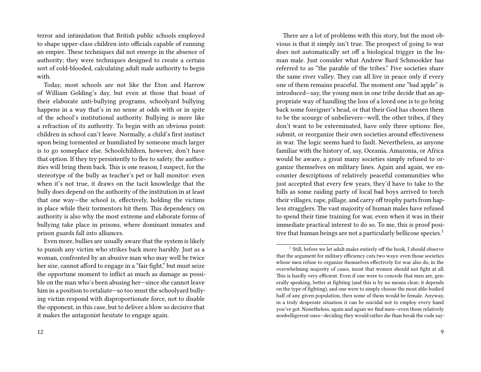terror and intimidation that British public schools employed to shape upper-class children into officials capable of running an empire. These techniques did not emerge in the absence of authority; they were techniques designed to create a certain sort of cold-blooded, calculating adult male authority to begin with.

Today, most schools are not like the Eton and Harrow of William Golding's day, but even at those that boast of their elaborate anti-bullying programs, schoolyard bullying happens in a way that's in no sense at odds with or in spite of the school's institutional authority. Bullying is more like a refraction of its authority. To begin with an obvious point: children in school can't leave. Normally, a child's first instinct upon being tormented or humiliated by someone much larger is to go someplace else. Schoolchildren, however, don't have that option. If they try persistently to flee to safety, the authorities will bring them back. This is one reason, I suspect, for the stereotype of the bully as teacher's pet or hall monitor: even when it's not true, it draws on the tacit knowledge that the bully does depend on the authority of the institution in at least that one way—the school is, effectively, holding the victims in place while their tormentors hit them. This dependency on authority is also why the most extreme and elaborate forms of bullying take place in prisons, where dominant inmates and prison guards fall into alliances.

Even more, bullies are usually aware that the system is likely to punish any victim who strikes back more harshly. Just as a woman, confronted by an abusive man who may well be twice her size, cannot afford to engage in a "fair fight," but must seize the opportune moment to inflict as much as damage as possible on the man who's been abusing her—since she cannot leave him in a position to retaliate—so too must the schoolyard bullying victim respond with disproportionate force, not to disable the opponent, in this case, but to deliver a blow so decisive that it makes the antagonist hesitate to engage again.

There are a lot of problems with this story, but the most obvious is that it simply isn't true. The prospect of going to war does not automatically set off a biological trigger in the human male. Just consider what Andrew Bard Schmookler has referred to as "the parable of the tribes." Five societies share the same river valley. They can all live in peace only if every one of them remains peaceful. The moment one "bad apple" is introduced—say, the young men in one tribe decide that an appropriate way of handling the loss of a loved one is to go bring back some foreigner's head, or that their God has chosen them to be the scourge of unbelievers—well, the other tribes, if they don't want to be exterminated, have only three options: flee, submit, or reorganize their own societies around effectiveness in war. The logic seems hard to fault. Nevertheless, as anyone familiar with the history of, say, Oceania, Amazonia, or Africa would be aware, a great many societies simply refused to organize themselves on military lines. Again and again, we encounter descriptions of relatively peaceful communities who just accepted that every few years, they'd have to take to the hills as some raiding party of local bad boys arrived to torch their villages, rape, pillage, and carry off trophy parts from hapless stragglers. The vast majority of human males have refused to spend their time training for war, even when it was in their immediate practical interest to do so. To me, this is proof positive that human beings are not a particularly bellicose species.<sup>1</sup>

<sup>&</sup>lt;sup>1</sup> Still, before we let adult males entirely off the hook, I should observe that the argument for military efficiency cuts two ways: even those societies whose men refuse to organize themselves effectively for war also do, in the overwhelming majority of cases, insist that women should not fight at all. This is hardly very efficient. Even if one were to concede that men are, generally speaking, better at fighting (and this is by no means clear; it depends on the type of fighting), and one were to simply choose the most able-bodied half of any given population, then some of them would be female. Anyway, in a truly desperate situation it can be suicidal not to employ every hand you've got. Nonetheless, again and again we find men—even those relatively nonbelligerent ones—deciding they would rather die than break the code say-